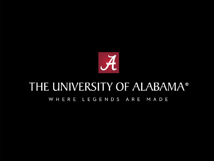

#### THE UNIVERSITY OF ALABAMA® WHERE LEGENDS ARE MADE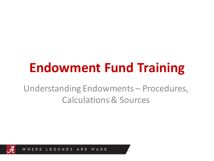# **Endowment Fund Training**

Understanding Endowments – Procedures, Calculations & Sources

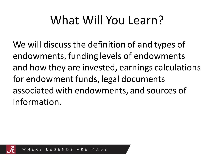## What Will You Learn?

We will discuss the definition of and types of endowments, funding levels of endowments and how they are invested, earnings calculations for endowment funds, legal documents associated with endowments, and sources of information.

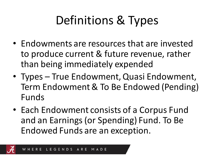# Definitions & Types

- Endowments are resources that are invested to produce current & future revenue, rather than being immediately expended
- Types True Endowment, Quasi Endowment, Term Endowment & To Be Endowed (Pending) Funds
- Each Endowment consists of a Corpus Fund and an Earnings (or Spending) Fund. To Be Endowed Funds are an exception.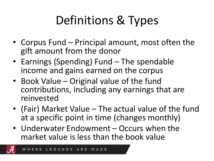# Definitions & Types

- Corpus Fund Principal amount, most often the gift amount from the donor
- Earnings (Spending) Fund The spendable income and gains earned on the corpus
- Book Value Original value of the fund contributions, including any earnings that are reinvested
- (Fair) Market Value The actual value of the fund at a specific point in time (changes monthly)
- Underwater Endowment Occurs when the market value is less than the book value

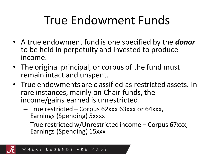#### True Endowment Funds

- A true endowment fund is one specified by the *donor* to be held in perpetuity and invested to produce income.
- The original principal, or corpus of the fund must remain intact and unspent.
- True endowments are classified as restricted assets. In rare instances, mainly on Chair funds, the income/gains earned is unrestricted.
	- True restricted Corpus 62xxx 63xxx or 64xxx, Earnings (Spending) 5xxxx
	- True restricted w/Unrestricted income Corpus 67xxx, Earnings (Spending) 15xxx

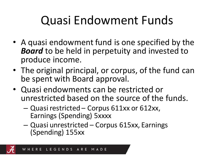## Quasi Endowment Funds

- A quasi endowment fund is one specified by the *Board* to be held in perpetuity and invested to produce income.
- The original principal, or corpus, of the fund can be spent with Board approval.
- Quasi endowments can be restricted or unrestricted based on the source of the funds.
	- Quasi restricted Corpus 611xx or 612xx, Earnings (Spending) 5xxxx
	- Quasi unrestricted Corpus 615xx, Earnings (Spending) 155xx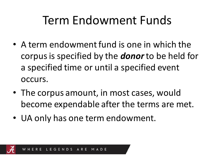#### Term Endowment Funds

- A term endowment fund is one in which the corpus is specified by the *donor*to be held for a specified time or until a specified event occurs.
- The corpus amount, in most cases, would become expendable after the terms are met.
- UA only has one term endowment.

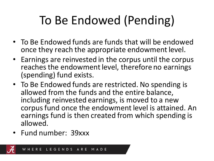# To Be Endowed (Pending)

- To Be Endowed funds are funds that will be endowed once they reach the appropriate endowment level.
- Earnings are reinvested in the corpus until the corpus reaches the endowment level, therefore no earnings (spending) fund exists.
- To Be Endowed funds are restricted. No spending is allowed from the funds and the entire balance, including reinvested earnings, is moved to a new corpus fund once the endowment level is attained. An earnings fund is then created from which spending is allowed.
- Fund number: 39xxx

LEGENDS ARE MADE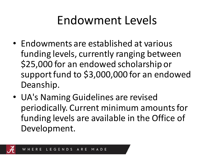#### Endowment Levels

- Endowments are established at various funding levels, currently ranging between \$25,000 for an endowed scholarship or support fund to \$3,000,000 for an endowed Deanship.
- UA's Naming Guidelines are revised periodically. Current minimum amounts for funding levels are available in the Office of Development.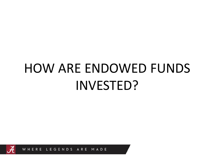# HOW ARE ENDOWED FUNDS INVESTED?

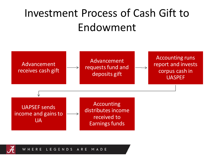#### Investment Process of Cash Gift to Endowment



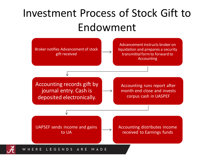#### Investment Process of Stock Gift to Endowment

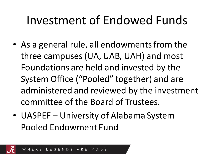#### Investment of Endowed Funds

- As a general rule, all endowments from the three campuses (UA, UAB, UAH) and most Foundations are held and invested by the System Office ("Pooled" together) and are administered and reviewed by the investment committee of the Board of Trustees.
- UASPEF University of Alabama System Pooled Endowment Fund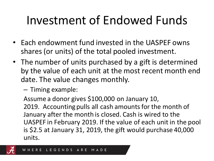## Investment of Endowed Funds

- Each endowment fund invested in the UASPEF owns shares (or units) of the total pooled investment.
- The number of units purchased by a gift is determined by the value of each unit at the most recent month end date. The value changes monthly.
	- Timing example:

Assume a donor gives \$100,000 on January 10, 2019. Accounting pulls all cash amounts for the month of January after the month is closed. Cash is wired to the UASPEF in February 2019. If the value of each unit in the pool is \$2.5 at January 31, 2019, the gift would purchase 40,000 units.

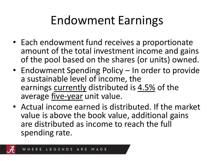## Endowment Earnings

- Each endowment fund receives a proportionate amount of the total investment income and gains of the pool based on the shares (or units) owned.
- Endowment Spending Policy In order to provide a sustainable level of income, the earnings currently distributed is 4.5% of the average five-year unit value.
- Actual income earned is distributed. If the market value is above the book value, additional gains are distributed as income to reach the full spending rate.

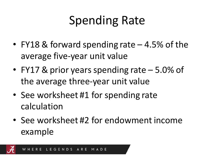## Spending Rate

- FY18 & forward spending rate 4.5% of the average five-year unit value
- FY17 & prior years spending rate 5.0% of the average three-year unit value
- See worksheet #1 for spending rate calculation
- See worksheet #2 for endowment income example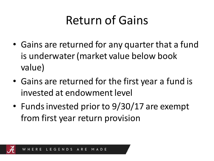## Return of Gains

- Gains are returned for any quarter that a fund is underwater (market value below book value)
- Gains are returned for the first year a fund is invested at endowment level
- Funds invested prior to 9/30/17 are exempt from first year return provision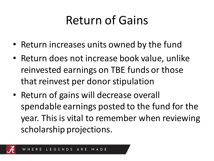## Return of Gains

- Return increases units owned by the fund
- Return does not increase book value, unlike reinvested earnings on TBE funds or those that reinvest per donor stipulation
- Return of gains will decrease overall spendable earnings posted to the fund for the year. This is vital to remember when reviewing scholarship projections.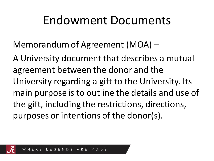#### Endowment Documents

Memorandum of Agreement (MOA) –

A University document that describes a mutual agreement between the donor and the University regarding a gift to the University. Its main purpose is to outline the details and use of the gift, including the restrictions, directions, purposes or intentions of the donor(s).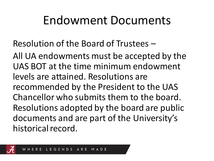#### Endowment Documents

Resolution of the Board of Trustees –

All UA endowments must be accepted by the UAS BOT at the time minimum endowment levels are attained. Resolutions are recommended by the President to the UAS Chancellor who submits them to the board. Resolutions adopted by the board are public documents and are part of the University's historical record.

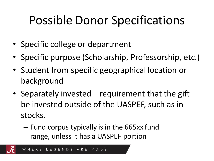## Possible Donor Specifications

- Specific college or department
- Specific purpose (Scholarship, Professorship, etc.)
- Student from specific geographical location or background
- Separately invested requirement that the gift be invested outside of the UASPEF, such as in stocks.
	- Fund corpus typically is in the 665xx fund range, unless it has a UASPEF portion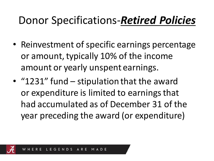#### Donor Specifications-*Retired Policies*

- Reinvestment of specific earnings percentage or amount, typically 10% of the income amount or yearly unspent earnings.
- "1231" fund stipulation that the award or expenditure is limited to earnings that had accumulated as of December 31 of the year preceding the award (or expenditure)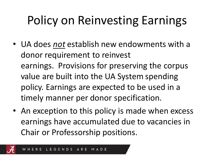# Policy on Reinvesting Earnings

- UA does *not* establish new endowments with a donor requirement to reinvest earnings. Provisions for preserving the corpus value are built into the UA System spending policy. Earnings are expected to be used in a timely manner per donor specification.
- An exception to this policy is made when excess earnings have accumulated due to vacancies in Chair or Professorship positions.

MADE

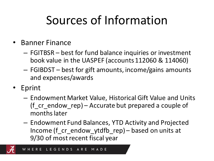## Sources of Information

- Banner Finance
	- FGITBSR best for fund balance inquiries or investment book value in the UASPEF (accounts 112060 & 114060)
	- FGIBDST best for gift amounts, income/gains amounts and expenses/awards
- Eprint
	- Endowment Market Value, Historical Gift Value and Units (f cr endow rep) – Accurate but prepared a couple of months later
	- Endowment Fund Balances, YTD Activity and Projected Income (f\_cr\_endow\_ytdfb\_rep) – based on units at 9/30 of most recent fiscal year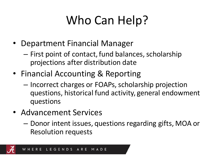# Who Can Help?

- Department Financial Manager
	- First point of contact, fund balances, scholarship projections after distribution date
- Financial Accounting & Reporting
	- Incorrect charges or FOAPs, scholarship projection questions, historical fund activity, general endowment questions
- Advancement Services
	- Donor intent issues, questions regarding gifts, MOA or Resolution requests

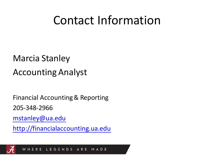#### Contact Information

#### Marcia Stanley Accounting Analyst

Financial Accounting & Reporting 205-348-2966

[mstanley@ua.edu](mailto:Mstanley@fa.ua.edu)

[http://financialaccounting.ua.edu](https://financialaccounting.ua.edu/)



LEGENDS ARE WHERE MADE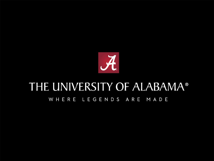

#### THE UNIVERSITY OF ALABAMA® WHERE LEGENDS ARE MADE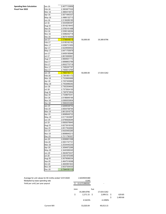#### **Spending Rate Calculation** Fiscal Year 2022

| Jan-16        | 2.4077133856 |
|---------------|--------------|
| Feb-16        | 2.3953877530 |
| Mar-16        | 2.4884419472 |
| Apr-16        | 2.5071840337 |
| May-16        | 2.4966132713 |
| Jun-16        | 2.5136289185 |
| Jul-16        | 2.5444585397 |
| Aug-16        | 2.5518218443 |
| Sep-16        | 2.5765161498 |
| Oct-16        | 2.5356148294 |
| Nov-16        | 2.5486252718 |
| Dec-16        | 2.5679140656 |
| Jan-17        | 2.5786648018 |
| Feb-17        | 2.6195162162 |
| Mar-17        | 2.6356731650 |
| Apr-17        | 2.6229506502 |
| May-17        | 2.6471705979 |
| Jun-17        | 2.6459195946 |
| Jul-17        | 2.6619365891 |
| Aug-17        | 2.6684641172 |
| Sep-17        | 2.6898853789 |
| Oct-17        | 2.6932770719 |
| Nov-17        | 2.7085297797 |
| Dec-17        | 2.7455013764 |
| Jan-18        | 2.7894740111 |
| Feb-18        | 2.7381951173 |
| $Mar-18$      | 2.7333683688 |
|               |              |
| Apr-18        | 2.7257400660 |
| May-18        | 2.7452696292 |
| Jun-18        | 2.7302304642 |
| Jul-18        | 2.7373934100 |
| Aug-18        | 2.7387873604 |
| Sep-18        | 2.7339675341 |
| Oct-18        | 2.6196849184 |
| <b>Nov-18</b> | 2.6369353604 |
| Dec-18        | 2.5560253360 |
| Jan-19        | 2.6269538752 |
| Feb-19        | 2.6554758794 |
| Mar-19        | 2.6612916776 |
| Apr-19        | 2.6698949722 |
| $May-19$      | 2.6171833997 |
| Jun-19        | 2.6795928294 |
| Jul-19        | 2.6583078945 |
| Aug-19        | 2.6273918335 |
| $Sep-19$      | 2.6517502690 |
| Oct-19        | 2.6425483285 |
| Nov-19        | 2.6698840213 |
| Dec-19        | 2.7211790307 |
| Jan-20        | 2.6599951098 |
| Feb-20        | 2.5551747731 |
| Mar-20        | 2.2534440230 |
| Apr-20        | 2.3094972266 |
|               |              |
| May-20        | 2.3445369345 |
| Jun-20        | 2.3824675437 |
| Jul-20        | 2.4301975395 |
| Aug-20        | 2.5079598334 |
| Sep-20        | 2.4647516098 |
| Oct-20        | 2.4600991843 |
| <b>Nov-20</b> | 2.6537354530 |
| Dec-20        | 2.7344181113 |
|               |              |

Jan-17 2.5786648018 50,000.00 19,389.8796

Jan-18 2.7894740111 50,000.00 17,924.5262

| Average for unit values for 60 mnths ended 12/31/2020 | 2.6029035380    |
|-------------------------------------------------------|-----------------|
| Multiplied by base spending rate                      | 0.045           |
| Yield per unit/ per year payout                       | \$ 0.1171306592 |

Current MV

| /2020 |      | 2.6029035380<br>0.045<br>0.1171306592 |     |               |                |
|-------|------|---------------------------------------|-----|---------------|----------------|
|       | Jane |                                       | Sue |               |                |
|       |      | 19,389.8796                           |     | 17,924.5262   |                |
|       | \$   | $2,271.15$ \$                         |     | $2,099.51$ \$ | 629.85         |
|       |      |                                       |     |               | \$<br>1,469.66 |
|       |      | 4.5423%                               |     | 4.1990%       |                |
|       |      | 53,020.04                             |     | 49,013.15     |                |